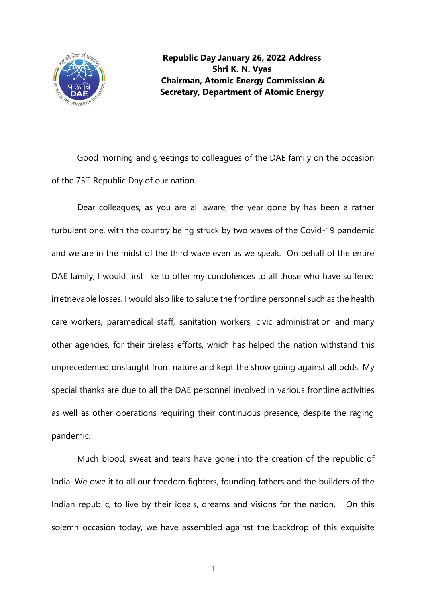

**Republic Day January 26, 2022 Address Shri K. N. Vyas Chairman, Atomic Energy Commission & Secretary, Department of Atomic Energy**

Good morning and greetings to colleagues of the DAE family on the occasion of the 73<sup>rd</sup> Republic Day of our nation.

Dear colleagues, as you are all aware, the year gone by has been a rather turbulent one, with the country being struck by two waves of the Covid-19 pandemic and we are in the midst of the third wave even as we speak. On behalf of the entire DAE family, I would first like to offer my condolences to all those who have suffered irretrievable losses. I would also like to salute the frontline personnel such as the health care workers, paramedical staff, sanitation workers, civic administration and many other agencies, for their tireless efforts, which has helped the nation withstand this unprecedented onslaught from nature and kept the show going against all odds. My special thanks are due to all the DAE personnel involved in various frontline activities as well as other operations requiring their continuous presence, despite the raging pandemic.

Much blood, sweat and tears have gone into the creation of the republic of India. We owe it to all our freedom fighters, founding fathers and the builders of the Indian republic, to live by their ideals, dreams and visions for the nation. On this solemn occasion today, we have assembled against the backdrop of this exquisite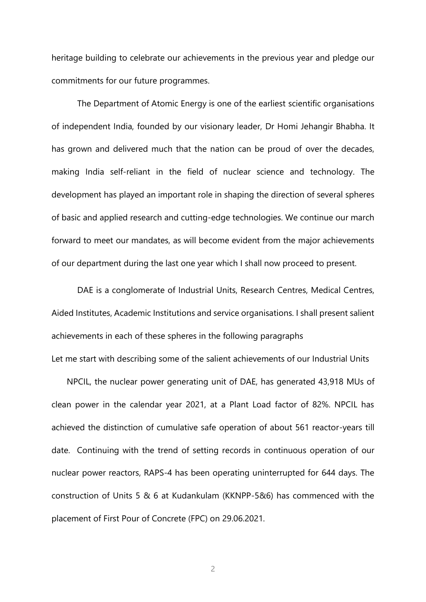heritage building to celebrate our achievements in the previous year and pledge our commitments for our future programmes.

The Department of Atomic Energy is one of the earliest scientific organisations of independent India, founded by our visionary leader, Dr Homi Jehangir Bhabha. It has grown and delivered much that the nation can be proud of over the decades, making India self-reliant in the field of nuclear science and technology. The development has played an important role in shaping the direction of several spheres of basic and applied research and cutting-edge technologies. We continue our march forward to meet our mandates, as will become evident from the major achievements of our department during the last one year which I shall now proceed to present.

DAE is a conglomerate of Industrial Units, Research Centres, Medical Centres, Aided Institutes, Academic Institutions and service organisations. I shall present salient achievements in each of these spheres in the following paragraphs Let me start with describing some of the salient achievements of our Industrial Units

NPCIL, the nuclear power generating unit of DAE, has generated 43,918 MUs of clean power in the calendar year 2021, at a Plant Load factor of 82%. NPCIL has achieved the distinction of cumulative safe operation of about 561 reactor-years till date. Continuing with the trend of setting records in continuous operation of our nuclear power reactors, RAPS-4 has been operating uninterrupted for 644 days. The construction of Units 5 & 6 at Kudankulam (KKNPP-5&6) has commenced with the placement of First Pour of Concrete (FPC) on 29.06.2021.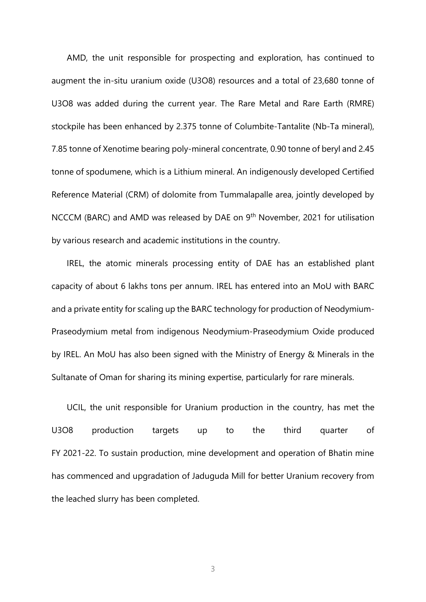AMD, the unit responsible for prospecting and exploration, has continued to augment the in-situ uranium oxide (U3O8) resources and a total of 23,680 tonne of U3O8 was added during the current year. The Rare Metal and Rare Earth (RMRE) stockpile has been enhanced by 2.375 tonne of Columbite-Tantalite (Nb-Ta mineral), 7.85 tonne of Xenotime bearing poly-mineral concentrate, 0.90 tonne of beryl and 2.45 tonne of spodumene, which is a Lithium mineral. An indigenously developed Certified Reference Material (CRM) of dolomite from Tummalapalle area, jointly developed by NCCCM (BARC) and AMD was released by DAE on 9th November, 2021 for utilisation by various research and academic institutions in the country.

IREL, the atomic minerals processing entity of DAE has an established plant capacity of about 6 lakhs tons per annum. IREL has entered into an MoU with BARC and a private entity for scaling up the BARC technology for production of Neodymium-Praseodymium metal from indigenous Neodymium-Praseodymium Oxide produced by IREL. An MoU has also been signed with the Ministry of Energy & Minerals in the Sultanate of Oman for sharing its mining expertise, particularly for rare minerals.

UCIL, the unit responsible for Uranium production in the country, has met the U3O8 production targets up to the third quarter of FY 2021-22. To sustain production, mine development and operation of Bhatin mine has commenced and upgradation of Jaduguda Mill for better Uranium recovery from the leached slurry has been completed.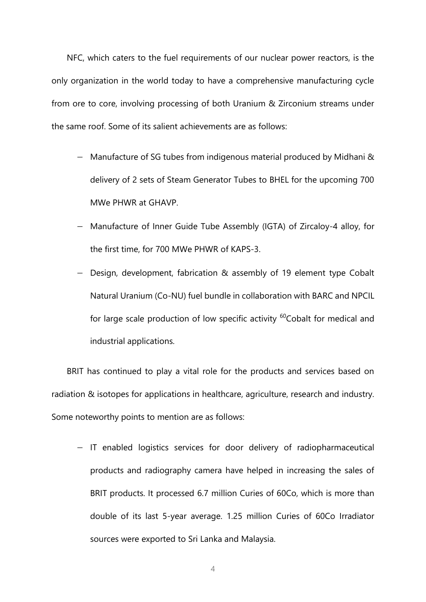NFC, which caters to the fuel requirements of our nuclear power reactors, is the only organization in the world today to have a comprehensive manufacturing cycle from ore to core, involving processing of both Uranium & Zirconium streams under the same roof. Some of its salient achievements are as follows:

- − Manufacture of SG tubes from indigenous material produced by Midhani & delivery of 2 sets of Steam Generator Tubes to BHEL for the upcoming 700 MWe PHWR at GHAVP.
- − Manufacture of Inner Guide Tube Assembly (IGTA) of Zircaloy-4 alloy, for the first time, for 700 MWe PHWR of KAPS-3.
- − Design, development, fabrication & assembly of 19 element type Cobalt Natural Uranium (Co-NU) fuel bundle in collaboration with BARC and NPCIL for large scale production of low specific activity <sup>60</sup>Cobalt for medical and industrial applications.

BRIT has continued to play a vital role for the products and services based on radiation & isotopes for applications in healthcare, agriculture, research and industry. Some noteworthy points to mention are as follows:

− IT enabled logistics services for door delivery of radiopharmaceutical products and radiography camera have helped in increasing the sales of BRIT products. It processed 6.7 million Curies of 60Co, which is more than double of its last 5-year average. 1.25 million Curies of 60Co Irradiator sources were exported to Sri Lanka and Malaysia.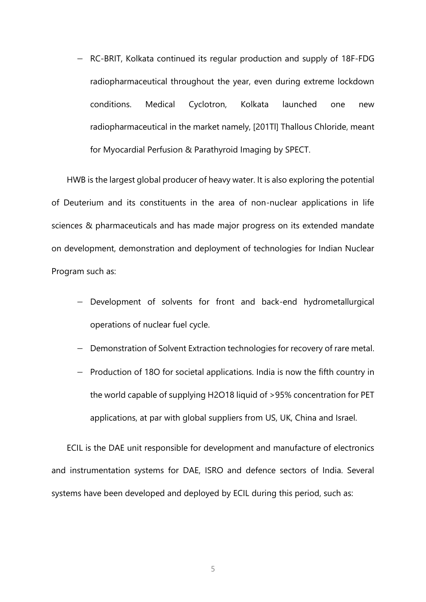− RC-BRIT, Kolkata continued its regular production and supply of 18F-FDG radiopharmaceutical throughout the year, even during extreme lockdown conditions. Medical Cyclotron, Kolkata launched one new radiopharmaceutical in the market namely, [201Tl] Thallous Chloride, meant for Myocardial Perfusion & Parathyroid Imaging by SPECT.

HWB is the largest global producer of heavy water. It is also exploring the potential of Deuterium and its constituents in the area of non-nuclear applications in life sciences & pharmaceuticals and has made major progress on its extended mandate on development, demonstration and deployment of technologies for Indian Nuclear Program such as:

- Development of solvents for front and back-end hydrometallurgical operations of nuclear fuel cycle.
- − Demonstration of Solvent Extraction technologies for recovery of rare metal.
- − Production of 18O for societal applications. India is now the fifth country in the world capable of supplying H2O18 liquid of >95% concentration for PET applications, at par with global suppliers from US, UK, China and Israel.

ECIL is the DAE unit responsible for development and manufacture of electronics and instrumentation systems for DAE, ISRO and defence sectors of India. Several systems have been developed and deployed by ECIL during this period, such as: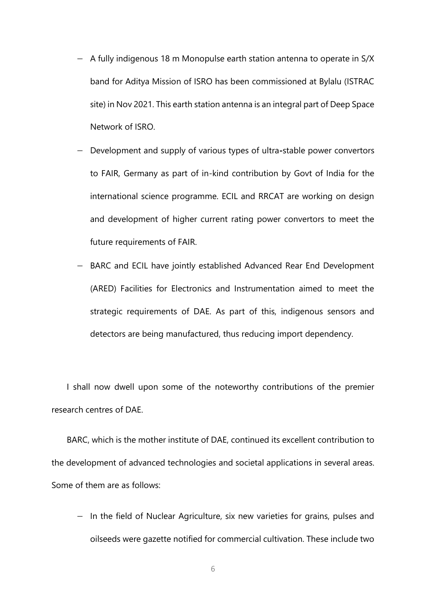- − A fully indigenous 18 m Monopulse earth station antenna to operate in S/X band for Aditya Mission of ISRO has been commissioned at Bylalu (ISTRAC site) in Nov 2021. This earth station antenna is an integral part of Deep Space Network of ISRO.
- − Development and supply of various types of ultra**-**stable power convertors to FAIR, Germany as part of in-kind contribution by Govt of India for the international science programme. ECIL and RRCAT are working on design and development of higher current rating power convertors to meet the future requirements of FAIR.
- BARC and ECIL have jointly established Advanced Rear End Development (ARED) Facilities for Electronics and Instrumentation aimed to meet the strategic requirements of DAE. As part of this, indigenous sensors and detectors are being manufactured, thus reducing import dependency.

I shall now dwell upon some of the noteworthy contributions of the premier research centres of DAE.

BARC, which is the mother institute of DAE, continued its excellent contribution to the development of advanced technologies and societal applications in several areas. Some of them are as follows:

− In the field of Nuclear Agriculture, six new varieties for grains, pulses and oilseeds were gazette notified for commercial cultivation. These include two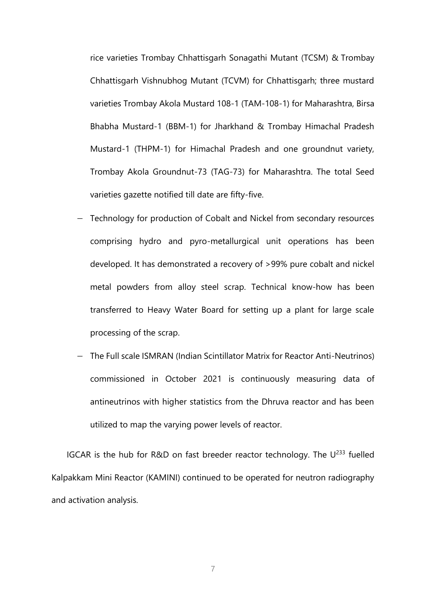rice varieties Trombay Chhattisgarh Sonagathi Mutant (TCSM) & Trombay Chhattisgarh Vishnubhog Mutant (TCVM) for Chhattisgarh; three mustard varieties Trombay Akola Mustard 108-1 (TAM-108-1) for Maharashtra, Birsa Bhabha Mustard-1 (BBM-1) for Jharkhand & Trombay Himachal Pradesh Mustard-1 (THPM-1) for Himachal Pradesh and one groundnut variety, Trombay Akola Groundnut-73 (TAG-73) for Maharashtra. The total Seed varieties gazette notified till date are fifty-five.

- − Technology for production of Cobalt and Nickel from secondary resources comprising hydro and pyro-metallurgical unit operations has been developed. It has demonstrated a recovery of >99% pure cobalt and nickel metal powders from alloy steel scrap. Technical know-how has been transferred to Heavy Water Board for setting up a plant for large scale processing of the scrap.
- − The Full scale ISMRAN (Indian Scintillator Matrix for Reactor Anti-Neutrinos) commissioned in October 2021 is continuously measuring data of antineutrinos with higher statistics from the Dhruva reactor and has been utilized to map the varying power levels of reactor.

IGCAR is the hub for R&D on fast breeder reactor technology. The  $U^{233}$  fuelled Kalpakkam Mini Reactor (KAMINI) continued to be operated for neutron radiography and activation analysis.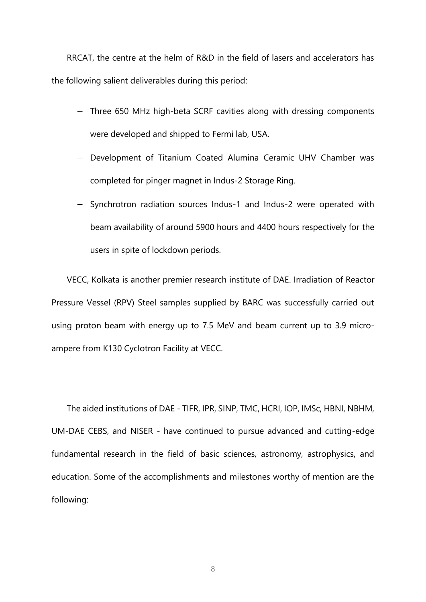RRCAT, the centre at the helm of R&D in the field of lasers and accelerators has the following salient deliverables during this period:

- − Three 650 MHz high-beta SCRF cavities along with dressing components were developed and shipped to Fermi lab, USA.
- − Development of Titanium Coated Alumina Ceramic UHV Chamber was completed for pinger magnet in Indus-2 Storage Ring.
- − Synchrotron radiation sources Indus-1 and Indus-2 were operated with beam availability of around 5900 hours and 4400 hours respectively for the users in spite of lockdown periods.

VECC, Kolkata is another premier research institute of DAE. Irradiation of Reactor Pressure Vessel (RPV) Steel samples supplied by BARC was successfully carried out using proton beam with energy up to 7.5 MeV and beam current up to 3.9 microampere from K130 Cyclotron Facility at VECC.

The aided institutions of DAE - TIFR, IPR, SINP, TMC, HCRI, IOP, IMSc, HBNI, NBHM, UM-DAE CEBS, and NISER - have continued to pursue advanced and cutting-edge fundamental research in the field of basic sciences, astronomy, astrophysics, and education. Some of the accomplishments and milestones worthy of mention are the following: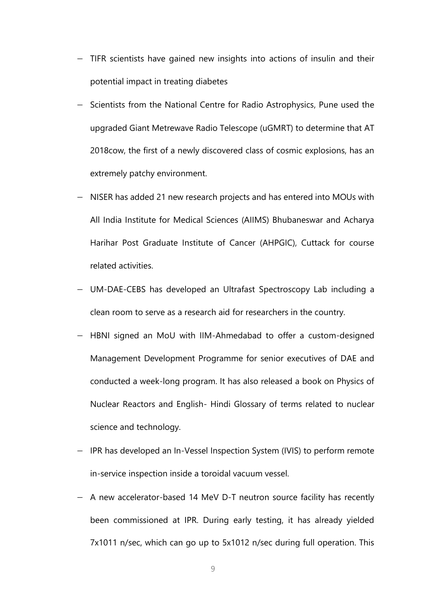- − TIFR scientists have gained new insights into actions of insulin and their potential impact in treating diabetes
- − Scientists from the National Centre for Radio Astrophysics, Pune used the upgraded Giant Metrewave Radio Telescope (uGMRT) to determine that AT 2018cow, the first of a newly discovered class of cosmic explosions, has an extremely patchy environment.
- − NISER has added 21 new research projects and has entered into MOUs with All India Institute for Medical Sciences (AIIMS) Bhubaneswar and Acharya Harihar Post Graduate Institute of Cancer (AHPGIC), Cuttack for course related activities.
- − UM-DAE-CEBS has developed an Ultrafast Spectroscopy Lab including a clean room to serve as a research aid for researchers in the country.
- − HBNI signed an MoU with IIM-Ahmedabad to offer a custom-designed Management Development Programme for senior executives of DAE and conducted a week-long program. It has also released a book on Physics of Nuclear Reactors and English- Hindi Glossary of terms related to nuclear science and technology.
- − IPR has developed an In-Vessel Inspection System (IVIS) to perform remote in-service inspection inside a toroidal vacuum vessel.
- − A new accelerator-based 14 MeV D-T neutron source facility has recently been commissioned at IPR. During early testing, it has already yielded 7x1011 n/sec, which can go up to 5x1012 n/sec during full operation. This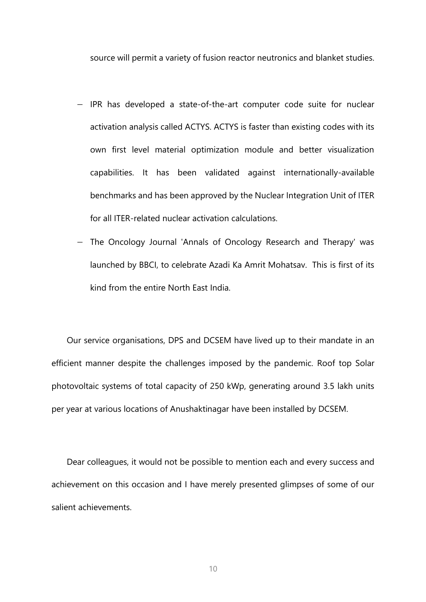source will permit a variety of fusion reactor neutronics and blanket studies.

- − IPR has developed a state-of-the-art computer code suite for nuclear activation analysis called ACTYS. ACTYS is faster than existing codes with its own first level material optimization module and better visualization capabilities. It has been validated against internationally-available benchmarks and has been approved by the Nuclear Integration Unit of ITER for all ITER-related nuclear activation calculations.
- − The Oncology Journal 'Annals of Oncology Research and Therapy' was launched by BBCI, to celebrate Azadi Ka Amrit Mohatsav. This is first of its kind from the entire North East India.

Our service organisations, DPS and DCSEM have lived up to their mandate in an efficient manner despite the challenges imposed by the pandemic. Roof top Solar photovoltaic systems of total capacity of 250 kWp, generating around 3.5 lakh units per year at various locations of Anushaktinagar have been installed by DCSEM.

Dear colleagues, it would not be possible to mention each and every success and achievement on this occasion and I have merely presented glimpses of some of our salient achievements.